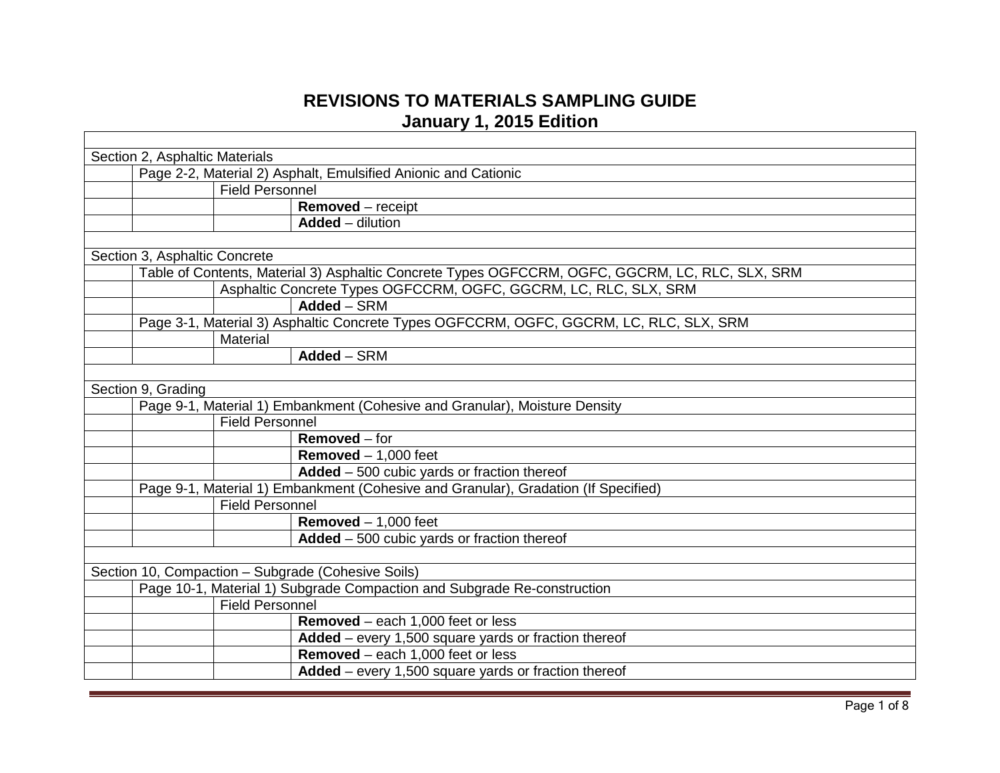## **REVISIONS TO MATERIALS SAMPLING GUIDE January 1, 2015 Edition**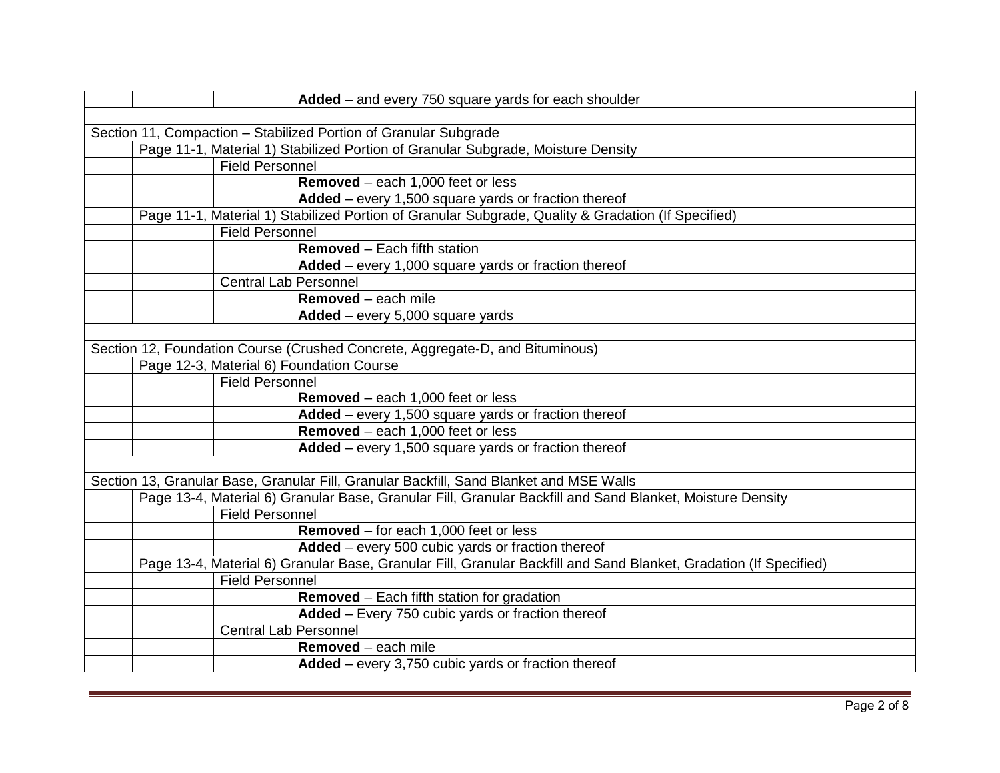|                                                                  |                              | Added - and every 750 square yards for each shoulder                                                              |  |
|------------------------------------------------------------------|------------------------------|-------------------------------------------------------------------------------------------------------------------|--|
|                                                                  |                              |                                                                                                                   |  |
| Section 11, Compaction - Stabilized Portion of Granular Subgrade |                              |                                                                                                                   |  |
|                                                                  |                              | Page 11-1, Material 1) Stabilized Portion of Granular Subgrade, Moisture Density                                  |  |
|                                                                  | <b>Field Personnel</b>       |                                                                                                                   |  |
|                                                                  |                              | Removed - each 1,000 feet or less                                                                                 |  |
|                                                                  |                              | Added - every 1,500 square yards or fraction thereof                                                              |  |
|                                                                  |                              | Page 11-1, Material 1) Stabilized Portion of Granular Subgrade, Quality & Gradation (If Specified)                |  |
|                                                                  | Field Personnel              |                                                                                                                   |  |
|                                                                  |                              | <b>Removed</b> – Each fifth station                                                                               |  |
|                                                                  |                              | Added – every 1,000 square yards or fraction thereof                                                              |  |
|                                                                  | <b>Central Lab Personnel</b> |                                                                                                                   |  |
|                                                                  |                              | Removed - each mile                                                                                               |  |
|                                                                  |                              | $Added$ – every 5,000 square yards                                                                                |  |
|                                                                  |                              |                                                                                                                   |  |
|                                                                  |                              | Section 12, Foundation Course (Crushed Concrete, Aggregate-D, and Bituminous)                                     |  |
|                                                                  |                              | Page 12-3, Material 6) Foundation Course                                                                          |  |
|                                                                  | <b>Field Personnel</b>       |                                                                                                                   |  |
|                                                                  |                              | <b>Removed</b> – each 1,000 feet or less                                                                          |  |
|                                                                  |                              | Added - every 1,500 square yards or fraction thereof                                                              |  |
|                                                                  |                              | Removed - each 1,000 feet or less                                                                                 |  |
|                                                                  |                              | Added – every 1,500 square yards or fraction thereof                                                              |  |
|                                                                  |                              |                                                                                                                   |  |
|                                                                  |                              | Section 13, Granular Base, Granular Fill, Granular Backfill, Sand Blanket and MSE Walls                           |  |
|                                                                  |                              | Page 13-4, Material 6) Granular Base, Granular Fill, Granular Backfill and Sand Blanket, Moisture Density         |  |
|                                                                  | <b>Field Personnel</b>       |                                                                                                                   |  |
|                                                                  |                              | Removed - for each 1,000 feet or less                                                                             |  |
|                                                                  |                              | Added - every 500 cubic yards or fraction thereof                                                                 |  |
|                                                                  |                              | Page 13-4, Material 6) Granular Base, Granular Fill, Granular Backfill and Sand Blanket, Gradation (If Specified) |  |
|                                                                  | <b>Field Personnel</b>       |                                                                                                                   |  |
|                                                                  |                              | <b>Removed</b> – Each fifth station for gradation                                                                 |  |
|                                                                  |                              | Added - Every 750 cubic yards or fraction thereof                                                                 |  |
|                                                                  | <b>Central Lab Personnel</b> |                                                                                                                   |  |
|                                                                  |                              | <b>Removed</b> – each mile                                                                                        |  |
|                                                                  |                              | Added - every 3,750 cubic yards or fraction thereof                                                               |  |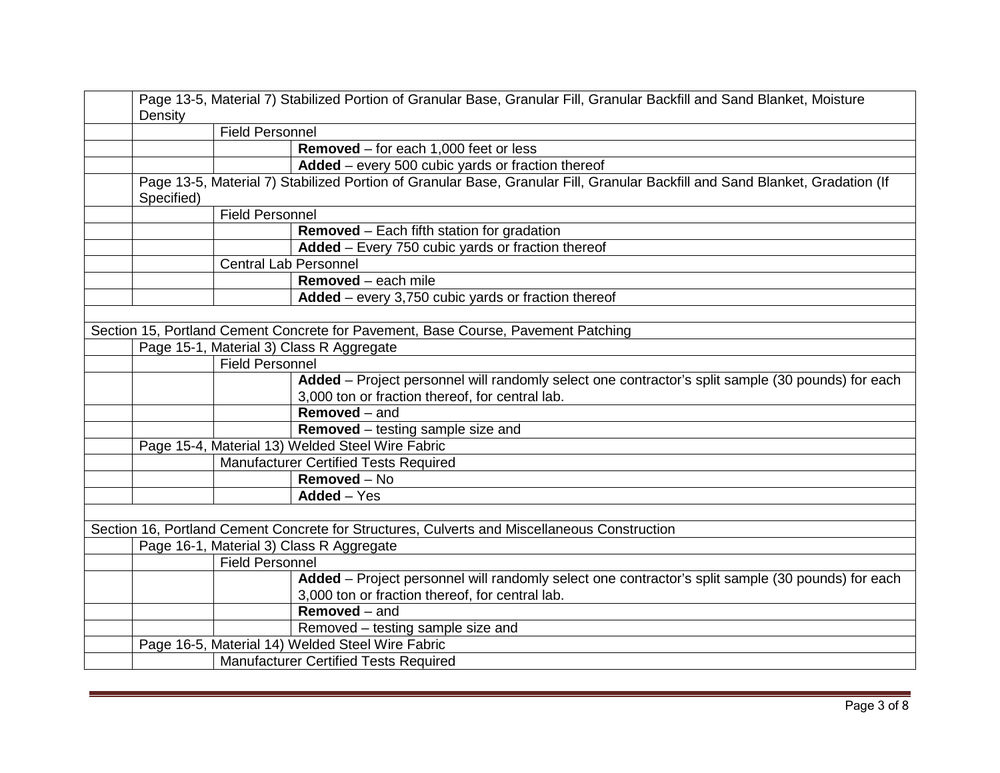| Page 13-5, Material 7) Stabilized Portion of Granular Base, Granular Fill, Granular Backfill and Sand Blanket, Moisture<br>Density |                              |                                                                                                                                                      |  |
|------------------------------------------------------------------------------------------------------------------------------------|------------------------------|------------------------------------------------------------------------------------------------------------------------------------------------------|--|
|                                                                                                                                    | <b>Field Personnel</b>       |                                                                                                                                                      |  |
|                                                                                                                                    |                              | <b>Removed</b> – for each $1,000$ feet or less                                                                                                       |  |
|                                                                                                                                    |                              | Added - every 500 cubic yards or fraction thereof                                                                                                    |  |
| Specified)                                                                                                                         |                              | Page 13-5, Material 7) Stabilized Portion of Granular Base, Granular Fill, Granular Backfill and Sand Blanket, Gradation (If                         |  |
|                                                                                                                                    | <b>Field Personnel</b>       |                                                                                                                                                      |  |
|                                                                                                                                    |                              | Removed - Each fifth station for gradation                                                                                                           |  |
|                                                                                                                                    |                              | Added - Every 750 cubic yards or fraction thereof                                                                                                    |  |
|                                                                                                                                    | <b>Central Lab Personnel</b> |                                                                                                                                                      |  |
|                                                                                                                                    |                              | Removed - each mile                                                                                                                                  |  |
|                                                                                                                                    |                              | Added - every 3,750 cubic yards or fraction thereof                                                                                                  |  |
|                                                                                                                                    |                              |                                                                                                                                                      |  |
|                                                                                                                                    |                              | Section 15, Portland Cement Concrete for Pavement, Base Course, Pavement Patching                                                                    |  |
|                                                                                                                                    |                              | Page 15-1, Material 3) Class R Aggregate                                                                                                             |  |
|                                                                                                                                    | <b>Field Personnel</b>       |                                                                                                                                                      |  |
|                                                                                                                                    |                              | Added – Project personnel will randomly select one contractor's split sample (30 pounds) for each<br>3,000 ton or fraction thereof, for central lab. |  |
|                                                                                                                                    |                              | <b>Removed</b> – and                                                                                                                                 |  |
|                                                                                                                                    |                              | Removed - testing sample size and                                                                                                                    |  |
|                                                                                                                                    |                              | Page 15-4, Material 13) Welded Steel Wire Fabric                                                                                                     |  |
| <b>Manufacturer Certified Tests Required</b>                                                                                       |                              |                                                                                                                                                      |  |
|                                                                                                                                    |                              | Removed - No                                                                                                                                         |  |
|                                                                                                                                    |                              | Added - Yes                                                                                                                                          |  |
|                                                                                                                                    |                              |                                                                                                                                                      |  |
|                                                                                                                                    |                              | Section 16, Portland Cement Concrete for Structures, Culverts and Miscellaneous Construction                                                         |  |
|                                                                                                                                    |                              | Page 16-1, Material 3) Class R Aggregate                                                                                                             |  |
| <b>Field Personnel</b>                                                                                                             |                              |                                                                                                                                                      |  |
|                                                                                                                                    |                              | Added - Project personnel will randomly select one contractor's split sample (30 pounds) for each<br>3,000 ton or fraction thereof, for central lab. |  |
|                                                                                                                                    |                              | <b>Removed</b> – and                                                                                                                                 |  |
|                                                                                                                                    |                              | Removed - testing sample size and                                                                                                                    |  |
|                                                                                                                                    |                              | Page 16-5, Material 14) Welded Steel Wire Fabric                                                                                                     |  |
|                                                                                                                                    |                              | <b>Manufacturer Certified Tests Required</b>                                                                                                         |  |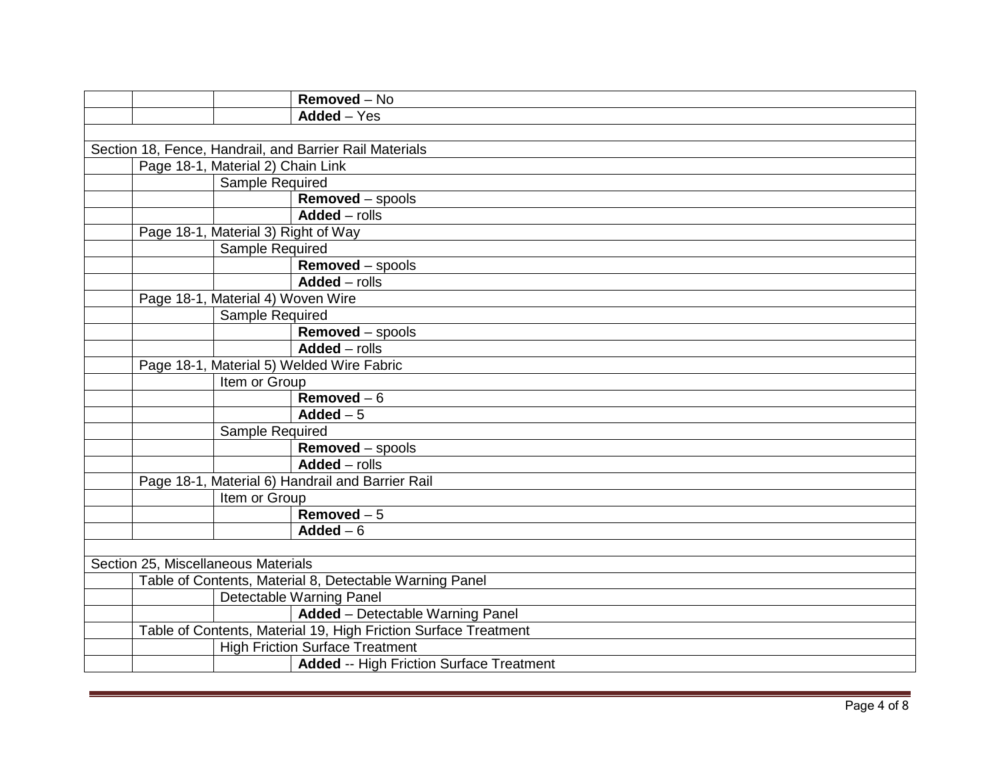|                                                         |                 | Removed - No                                                                                                                                                                                                                                                                                                                      |
|---------------------------------------------------------|-----------------|-----------------------------------------------------------------------------------------------------------------------------------------------------------------------------------------------------------------------------------------------------------------------------------------------------------------------------------|
|                                                         |                 | Added - Yes                                                                                                                                                                                                                                                                                                                       |
|                                                         |                 |                                                                                                                                                                                                                                                                                                                                   |
|                                                         |                 |                                                                                                                                                                                                                                                                                                                                   |
|                                                         |                 |                                                                                                                                                                                                                                                                                                                                   |
|                                                         | Sample Required |                                                                                                                                                                                                                                                                                                                                   |
|                                                         |                 | Removed - spools                                                                                                                                                                                                                                                                                                                  |
|                                                         |                 | $Added$ - rolls                                                                                                                                                                                                                                                                                                                   |
|                                                         |                 |                                                                                                                                                                                                                                                                                                                                   |
|                                                         | Sample Required |                                                                                                                                                                                                                                                                                                                                   |
|                                                         |                 | Removed - spools                                                                                                                                                                                                                                                                                                                  |
|                                                         |                 | Added - rolls                                                                                                                                                                                                                                                                                                                     |
|                                                         |                 |                                                                                                                                                                                                                                                                                                                                   |
|                                                         | Sample Required |                                                                                                                                                                                                                                                                                                                                   |
|                                                         |                 | <b>Removed</b> – spools                                                                                                                                                                                                                                                                                                           |
|                                                         |                 | $Added$ - rolls                                                                                                                                                                                                                                                                                                                   |
|                                                         |                 |                                                                                                                                                                                                                                                                                                                                   |
|                                                         | Item or Group   |                                                                                                                                                                                                                                                                                                                                   |
|                                                         |                 | Removed $-6$                                                                                                                                                                                                                                                                                                                      |
|                                                         |                 | Added $-5$                                                                                                                                                                                                                                                                                                                        |
|                                                         | Sample Required |                                                                                                                                                                                                                                                                                                                                   |
|                                                         |                 | Removed - spools                                                                                                                                                                                                                                                                                                                  |
|                                                         |                 | Added - rolls                                                                                                                                                                                                                                                                                                                     |
|                                                         |                 |                                                                                                                                                                                                                                                                                                                                   |
|                                                         |                 |                                                                                                                                                                                                                                                                                                                                   |
|                                                         |                 | Removed $-5$                                                                                                                                                                                                                                                                                                                      |
|                                                         |                 | Added $-6$                                                                                                                                                                                                                                                                                                                        |
|                                                         |                 |                                                                                                                                                                                                                                                                                                                                   |
|                                                         |                 |                                                                                                                                                                                                                                                                                                                                   |
| Table of Contents, Material 8, Detectable Warning Panel |                 |                                                                                                                                                                                                                                                                                                                                   |
|                                                         |                 | Detectable Warning Panel                                                                                                                                                                                                                                                                                                          |
|                                                         |                 | Added - Detectable Warning Panel                                                                                                                                                                                                                                                                                                  |
|                                                         |                 | Table of Contents, Material 19, High Friction Surface Treatment                                                                                                                                                                                                                                                                   |
|                                                         |                 | <b>High Friction Surface Treatment</b>                                                                                                                                                                                                                                                                                            |
|                                                         |                 | <b>Added -- High Friction Surface Treatment</b>                                                                                                                                                                                                                                                                                   |
|                                                         |                 | Section 18, Fence, Handrail, and Barrier Rail Materials<br>Page 18-1, Material 2) Chain Link<br>Page 18-1, Material 3) Right of Way<br>Page 18-1, Material 4) Woven Wire<br>Page 18-1, Material 5) Welded Wire Fabric<br>Page 18-1, Material 6) Handrail and Barrier Rail<br>Item or Group<br>Section 25, Miscellaneous Materials |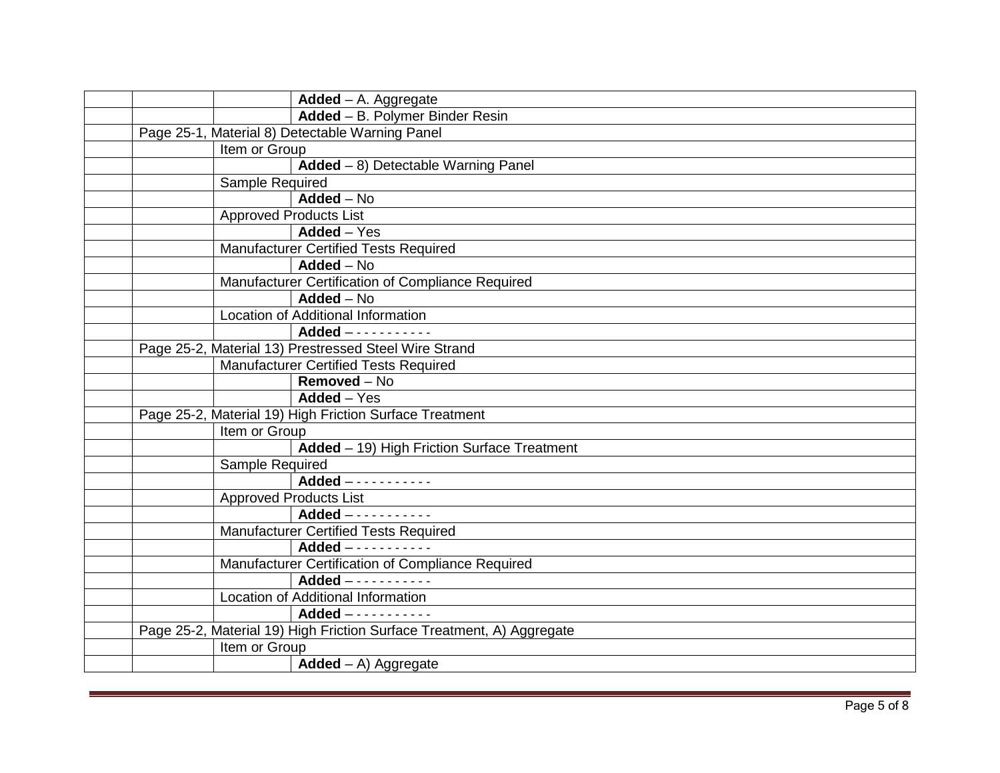| $Added - A. Aggregate$                                                |  |  |
|-----------------------------------------------------------------------|--|--|
| Added - B. Polymer Binder Resin                                       |  |  |
| Page 25-1, Material 8) Detectable Warning Panel                       |  |  |
| Item or Group                                                         |  |  |
| Added - 8) Detectable Warning Panel                                   |  |  |
| Sample Required                                                       |  |  |
| $Added - No$                                                          |  |  |
| <b>Approved Products List</b>                                         |  |  |
| $Added - Yes$                                                         |  |  |
| <b>Manufacturer Certified Tests Required</b>                          |  |  |
| $Added - No$                                                          |  |  |
| Manufacturer Certification of Compliance Required                     |  |  |
| $Added - No$                                                          |  |  |
| Location of Additional Information                                    |  |  |
|                                                                       |  |  |
| Page 25-2, Material 13) Prestressed Steel Wire Strand                 |  |  |
| <b>Manufacturer Certified Tests Required</b>                          |  |  |
| Removed - No                                                          |  |  |
| $\overline{\mathsf{Added}} - \mathsf{Yes}$                            |  |  |
| Page 25-2, Material 19) High Friction Surface Treatment               |  |  |
| Item or Group                                                         |  |  |
| Added - 19) High Friction Surface Treatment                           |  |  |
| Sample Required                                                       |  |  |
| Added -----------                                                     |  |  |
| <b>Approved Products List</b>                                         |  |  |
|                                                                       |  |  |
| Manufacturer Certified Tests Required                                 |  |  |
| $Added$ - - - - - - - - - - - -                                       |  |  |
| Manufacturer Certification of Compliance Required                     |  |  |
| Added -----------                                                     |  |  |
| Location of Additional Information                                    |  |  |
| Added -----------                                                     |  |  |
| Page 25-2, Material 19) High Friction Surface Treatment, A) Aggregate |  |  |
| Item or Group                                                         |  |  |
| $Added - A)$ Aggregate                                                |  |  |
|                                                                       |  |  |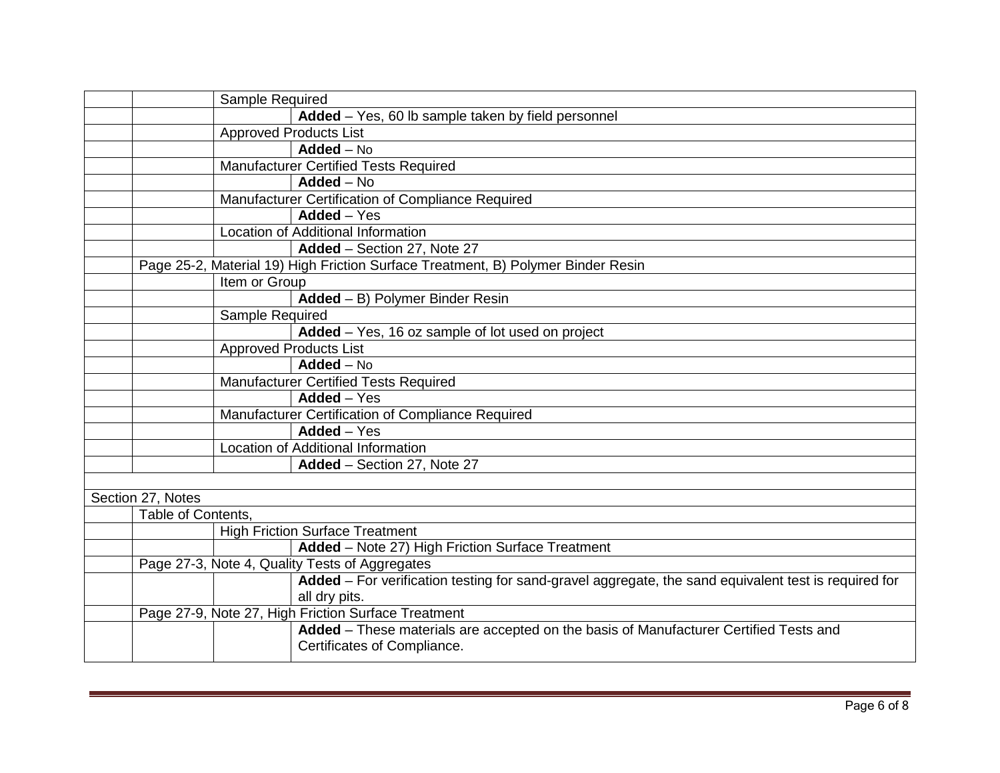|                    | Sample Required                                                                                                      |
|--------------------|----------------------------------------------------------------------------------------------------------------------|
|                    | Added - Yes, 60 lb sample taken by field personnel                                                                   |
|                    | <b>Approved Products List</b>                                                                                        |
|                    | $Added - No$                                                                                                         |
|                    | Manufacturer Certified Tests Required                                                                                |
|                    | $Added - No$                                                                                                         |
|                    | Manufacturer Certification of Compliance Required                                                                    |
|                    | $Added - Yes$                                                                                                        |
|                    | Location of Additional Information                                                                                   |
|                    | Added - Section 27, Note 27                                                                                          |
|                    | Page 25-2, Material 19) High Friction Surface Treatment, B) Polymer Binder Resin                                     |
|                    | Item or Group                                                                                                        |
|                    | Added - B) Polymer Binder Resin                                                                                      |
|                    | Sample Required                                                                                                      |
|                    | Added - Yes, 16 oz sample of lot used on project                                                                     |
|                    | <b>Approved Products List</b>                                                                                        |
|                    | $Added - No$                                                                                                         |
|                    | <b>Manufacturer Certified Tests Required</b>                                                                         |
|                    | Added - Yes                                                                                                          |
|                    | Manufacturer Certification of Compliance Required                                                                    |
|                    | $Added - Yes$                                                                                                        |
|                    | Location of Additional Information                                                                                   |
|                    | Added - Section 27, Note 27                                                                                          |
|                    |                                                                                                                      |
| Section 27, Notes  |                                                                                                                      |
| Table of Contents, |                                                                                                                      |
|                    | <b>High Friction Surface Treatment</b>                                                                               |
|                    | Added - Note 27) High Friction Surface Treatment                                                                     |
|                    | Page 27-3, Note 4, Quality Tests of Aggregates                                                                       |
|                    | Added - For verification testing for sand-gravel aggregate, the sand equivalent test is required for                 |
|                    | all dry pits.<br>Page 27-9, Note 27, High Friction Surface Treatment                                                 |
|                    |                                                                                                                      |
|                    | Added - These materials are accepted on the basis of Manufacturer Certified Tests and<br>Certificates of Compliance. |
|                    |                                                                                                                      |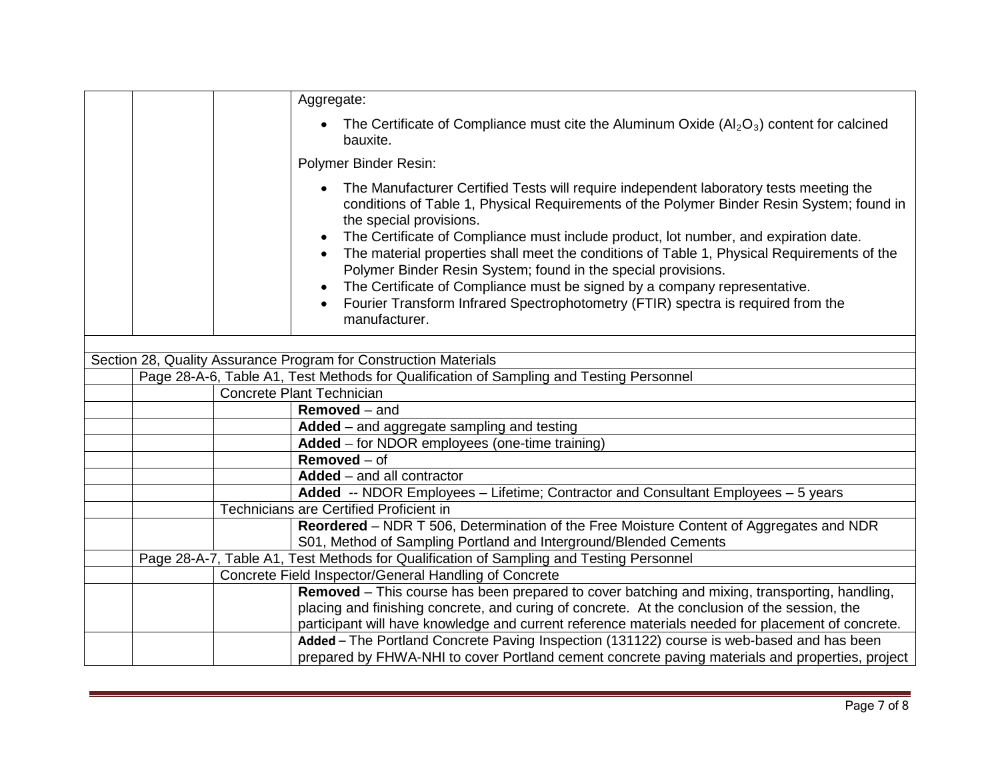|  | Aggregate:                                                                                                                                                                                                                                                                                                                                                                                                                                                                                                                                                                                                                                                                                                  |
|--|-------------------------------------------------------------------------------------------------------------------------------------------------------------------------------------------------------------------------------------------------------------------------------------------------------------------------------------------------------------------------------------------------------------------------------------------------------------------------------------------------------------------------------------------------------------------------------------------------------------------------------------------------------------------------------------------------------------|
|  | The Certificate of Compliance must cite the Aluminum Oxide $(A_2O_3)$ content for calcined<br>bauxite.                                                                                                                                                                                                                                                                                                                                                                                                                                                                                                                                                                                                      |
|  | Polymer Binder Resin:                                                                                                                                                                                                                                                                                                                                                                                                                                                                                                                                                                                                                                                                                       |
|  | The Manufacturer Certified Tests will require independent laboratory tests meeting the<br>conditions of Table 1, Physical Requirements of the Polymer Binder Resin System; found in<br>the special provisions.<br>The Certificate of Compliance must include product, lot number, and expiration date.<br>$\bullet$<br>The material properties shall meet the conditions of Table 1, Physical Requirements of the<br>$\bullet$<br>Polymer Binder Resin System; found in the special provisions.<br>The Certificate of Compliance must be signed by a company representative.<br>$\bullet$<br>Fourier Transform Infrared Spectrophotometry (FTIR) spectra is required from the<br>$\bullet$<br>manufacturer. |
|  |                                                                                                                                                                                                                                                                                                                                                                                                                                                                                                                                                                                                                                                                                                             |
|  | Section 28, Quality Assurance Program for Construction Materials                                                                                                                                                                                                                                                                                                                                                                                                                                                                                                                                                                                                                                            |
|  | Page 28-A-6, Table A1, Test Methods for Qualification of Sampling and Testing Personnel<br><b>Concrete Plant Technician</b>                                                                                                                                                                                                                                                                                                                                                                                                                                                                                                                                                                                 |
|  | <b>Removed</b> – and                                                                                                                                                                                                                                                                                                                                                                                                                                                                                                                                                                                                                                                                                        |
|  | Added - and aggregate sampling and testing                                                                                                                                                                                                                                                                                                                                                                                                                                                                                                                                                                                                                                                                  |
|  | Added - for NDOR employees (one-time training)                                                                                                                                                                                                                                                                                                                                                                                                                                                                                                                                                                                                                                                              |
|  | $Removed - of$                                                                                                                                                                                                                                                                                                                                                                                                                                                                                                                                                                                                                                                                                              |
|  | Added - and all contractor                                                                                                                                                                                                                                                                                                                                                                                                                                                                                                                                                                                                                                                                                  |
|  | Added -- NDOR Employees - Lifetime; Contractor and Consultant Employees - 5 years                                                                                                                                                                                                                                                                                                                                                                                                                                                                                                                                                                                                                           |
|  | <b>Technicians are Certified Proficient in</b>                                                                                                                                                                                                                                                                                                                                                                                                                                                                                                                                                                                                                                                              |
|  | Reordered - NDR T 506, Determination of the Free Moisture Content of Aggregates and NDR                                                                                                                                                                                                                                                                                                                                                                                                                                                                                                                                                                                                                     |
|  | S01, Method of Sampling Portland and Interground/Blended Cements                                                                                                                                                                                                                                                                                                                                                                                                                                                                                                                                                                                                                                            |
|  | Page 28-A-7, Table A1, Test Methods for Qualification of Sampling and Testing Personnel                                                                                                                                                                                                                                                                                                                                                                                                                                                                                                                                                                                                                     |
|  | Concrete Field Inspector/General Handling of Concrete                                                                                                                                                                                                                                                                                                                                                                                                                                                                                                                                                                                                                                                       |
|  | <b>Removed</b> – This course has been prepared to cover batching and mixing, transporting, handling,                                                                                                                                                                                                                                                                                                                                                                                                                                                                                                                                                                                                        |
|  |                                                                                                                                                                                                                                                                                                                                                                                                                                                                                                                                                                                                                                                                                                             |
|  | placing and finishing concrete, and curing of concrete. At the conclusion of the session, the                                                                                                                                                                                                                                                                                                                                                                                                                                                                                                                                                                                                               |
|  | participant will have knowledge and current reference materials needed for placement of concrete.<br>Added - The Portland Concrete Paving Inspection (131122) course is web-based and has been                                                                                                                                                                                                                                                                                                                                                                                                                                                                                                              |